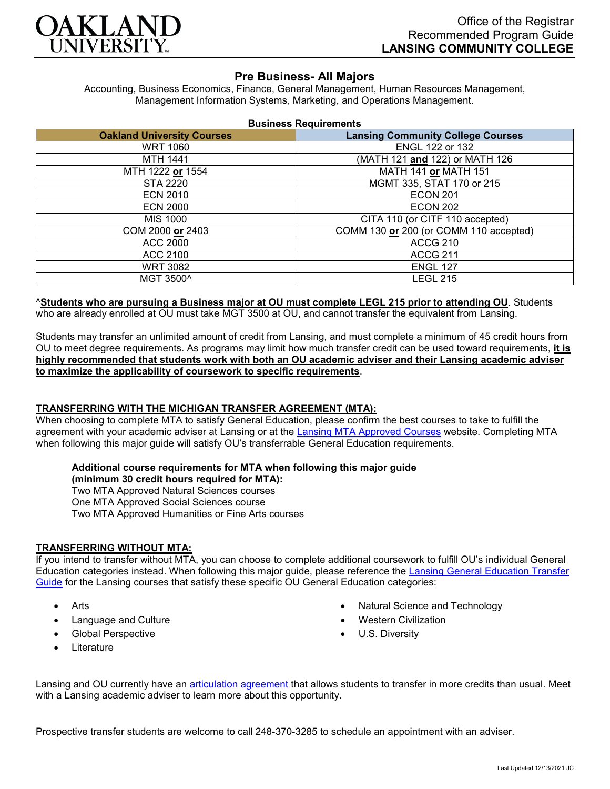

# **Pre Business- All Majors**

Accounting, Business Economics, Finance, General Management, Human Resources Management, Management Information Systems, Marketing, and Operations Management.

| <b>Business Requirements</b> |  |
|------------------------------|--|
|------------------------------|--|

| <b>Oakland University Courses</b> | <b>Lansing Community College Courses</b> |
|-----------------------------------|------------------------------------------|
| <b>WRT 1060</b>                   | ENGL 122 or 132                          |
| MTH 1441                          | (MATH 121 and 122) or MATH 126           |
| MTH 1222 or 1554                  | <b>MATH 141 or MATH 151</b>              |
| <b>STA 2220</b>                   | MGMT 335, STAT 170 or 215                |
| <b>ECN 2010</b>                   | <b>ECON 201</b>                          |
| <b>ECN 2000</b>                   | <b>ECON 202</b>                          |
| MIS 1000                          | CITA 110 (or CITF 110 accepted)          |
| COM 2000 or 2403                  | COMM 130 or 200 (or COMM 110 accepted)   |
| <b>ACC 2000</b>                   | <b>ACCG 210</b>                          |
| ACC 2100                          | <b>ACCG 211</b>                          |
| <b>WRT 3082</b>                   | <b>ENGL 127</b>                          |
| MGT 3500^                         | LEGL 215                                 |

^**Students who are pursuing a Business major at OU must complete LEGL 215 prior to attending OU**. Students who are already enrolled at OU must take MGT 3500 at OU, and cannot transfer the equivalent from Lansing.

Students may transfer an unlimited amount of credit from Lansing, and must complete a minimum of 45 credit hours from OU to meet degree requirements. As programs may limit how much transfer credit can be used toward requirements, **it is highly recommended that students work with both an OU academic adviser and their Lansing academic adviser to maximize the applicability of coursework to specific requirements**.

### **TRANSFERRING WITH THE MICHIGAN TRANSFER AGREEMENT (MTA):**

When choosing to complete MTA to satisfy General Education, please confirm the best courses to take to fulfill the agreement with your academic adviser at Lansing or at the [Lansing MTA Approved Courses](https://www.lcc.edu/academics/transfer/mta.html) website. Completing MTA when following this major guide will satisfy OU's transferrable General Education requirements.

### **Additional course requirements for MTA when following this major guide**

**(minimum 30 credit hours required for MTA):** Two MTA Approved Natural Sciences courses One MTA Approved Social Sciences course

# Two MTA Approved Humanities or Fine Arts courses

## **TRANSFERRING WITHOUT MTA:**

If you intend to transfer without MTA, you can choose to complete additional coursework to fulfill OU's individual General Education categories instead. When following this major guide, please reference the Lansing General Education Transfer [Guide](https://www.oakland.edu/Assets/Oakland/program-guides/lansing-community-college/university-general-education-requirements/Lansing%20Gen%20Ed.pdf) for the Lansing courses that satisfy these specific OU General Education categories:

- Arts
- Language and Culture
- Global Perspective
- **Literature**
- Natural Science and Technology
- Western Civilization
- U.S. Diversity

Lansing and OU currently have an [articulation agreement](https://www.oakland.edu/Assets/Oakland/articulation-agreements/lansing-community-college/Lansing%20BUS%20AA.pdf) that allows students to transfer in more credits than usual. Meet with a Lansing academic adviser to learn more about this opportunity.

Prospective transfer students are welcome to call 248-370-3285 to schedule an appointment with an adviser.